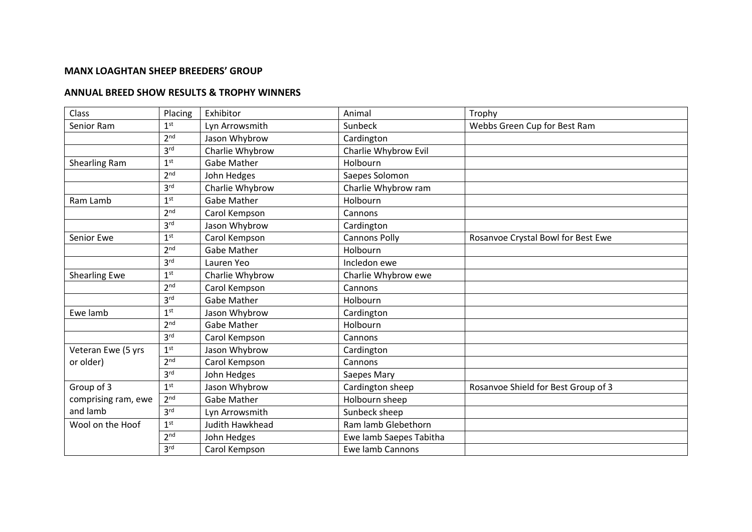## **MANX LOAGHTAN SHEEP BREEDERS' GROUP**

## **ANNUAL BREED SHOW RESULTS & TROPHY WINNERS**

| Class                | Placing         | Exhibitor              | Animal                  | Trophy                              |
|----------------------|-----------------|------------------------|-------------------------|-------------------------------------|
| Senior Ram           | 1 <sup>st</sup> | Lyn Arrowsmith         | Sunbeck                 | Webbs Green Cup for Best Ram        |
|                      | 2 <sub>nd</sub> | Jason Whybrow          | Cardington              |                                     |
|                      | 3 <sup>rd</sup> | Charlie Whybrow        | Charlie Whybrow Evil    |                                     |
| Shearling Ram        | 1 <sup>st</sup> | Gabe Mather            | Holbourn                |                                     |
|                      | 2 <sub>nd</sub> | John Hedges            | Saepes Solomon          |                                     |
|                      | 3 <sup>rd</sup> | Charlie Whybrow        | Charlie Whybrow ram     |                                     |
| Ram Lamb             | 1 <sup>st</sup> | <b>Gabe Mather</b>     | Holbourn                |                                     |
|                      | 2 <sub>nd</sub> | Carol Kempson          | Cannons                 |                                     |
|                      | 3 <sup>rd</sup> | Jason Whybrow          | Cardington              |                                     |
| Senior Ewe           | 1 <sup>st</sup> | Carol Kempson          | <b>Cannons Polly</b>    | Rosanvoe Crystal Bowl for Best Ewe  |
|                      | 2 <sub>nd</sub> | Gabe Mather            | Holbourn                |                                     |
|                      | 3 <sup>rd</sup> | Lauren Yeo             | Incledon ewe            |                                     |
| <b>Shearling Ewe</b> | 1 <sup>st</sup> | Charlie Whybrow        | Charlie Whybrow ewe     |                                     |
|                      | 2 <sup>nd</sup> | Carol Kempson          | Cannons                 |                                     |
|                      | 3 <sup>rd</sup> | <b>Gabe Mather</b>     | Holbourn                |                                     |
| Ewe lamb             | 1 <sup>st</sup> | Jason Whybrow          | Cardington              |                                     |
|                      | 2 <sub>nd</sub> | Gabe Mather            | Holbourn                |                                     |
|                      | 3 <sup>rd</sup> | Carol Kempson          | Cannons                 |                                     |
| Veteran Ewe (5 yrs   | 1 <sup>st</sup> | Jason Whybrow          | Cardington              |                                     |
| or older)            | 2 <sup>nd</sup> | Carol Kempson          | Cannons                 |                                     |
|                      | 3 <sup>rd</sup> | John Hedges            | Saepes Mary             |                                     |
| Group of 3           | 1 <sup>st</sup> | Jason Whybrow          | Cardington sheep        | Rosanvoe Shield for Best Group of 3 |
| comprising ram, ewe  | 2 <sup>nd</sup> | Gabe Mather            | Holbourn sheep          |                                     |
| and lamb             | 3 <sup>rd</sup> | Lyn Arrowsmith         | Sunbeck sheep           |                                     |
| Wool on the Hoof     | 1 <sup>st</sup> | <b>Judith Hawkhead</b> | Ram lamb Glebethorn     |                                     |
|                      | 2 <sub>nd</sub> | John Hedges            | Ewe lamb Saepes Tabitha |                                     |
|                      | 3 <sup>rd</sup> | Carol Kempson          | <b>Ewe lamb Cannons</b> |                                     |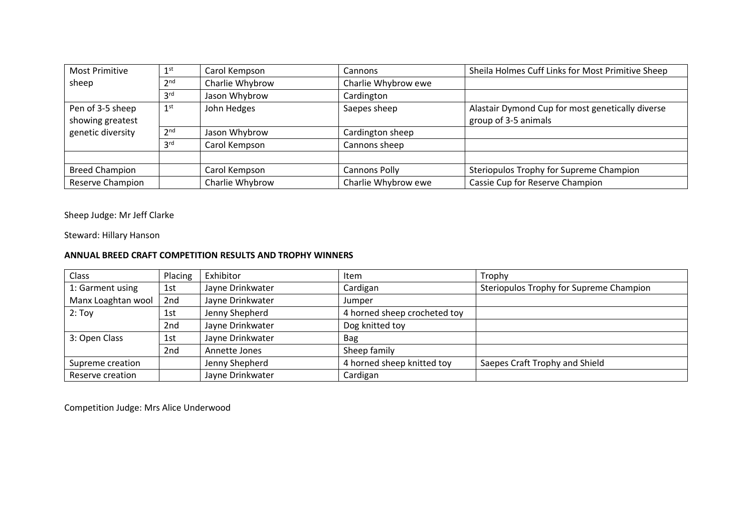| <b>Most Primitive</b> | 1 <sup>st</sup> | Carol Kempson   | Cannons              | Sheila Holmes Cuff Links for Most Primitive Sheep |
|-----------------------|-----------------|-----------------|----------------------|---------------------------------------------------|
| sheep                 | 2 <sub>nd</sub> | Charlie Whybrow | Charlie Whybrow ewe  |                                                   |
|                       | 3 <sup>rd</sup> | Jason Whybrow   | Cardington           |                                                   |
| Pen of 3-5 sheep      | 1 <sup>st</sup> | John Hedges     | Saepes sheep         | Alastair Dymond Cup for most genetically diverse  |
| showing greatest      |                 |                 |                      | group of 3-5 animals                              |
| genetic diversity     | 2 <sup>nd</sup> | Jason Whybrow   | Cardington sheep     |                                                   |
|                       | 3 <sup>rd</sup> | Carol Kempson   | Cannons sheep        |                                                   |
|                       |                 |                 |                      |                                                   |
| <b>Breed Champion</b> |                 | Carol Kempson   | <b>Cannons Polly</b> | Steriopulos Trophy for Supreme Champion           |
| Reserve Champion      |                 | Charlie Whybrow | Charlie Whybrow ewe  | Cassie Cup for Reserve Champion                   |

Sheep Judge: Mr Jeff Clarke

Steward: Hillary Hanson

## **ANNUAL BREED CRAFT COMPETITION RESULTS AND TROPHY WINNERS**

| Class              | Placing | Exhibitor        | Item                         | Trophy                                  |
|--------------------|---------|------------------|------------------------------|-----------------------------------------|
| 1: Garment using   | 1st     | Jayne Drinkwater | Cardigan                     | Steriopulos Trophy for Supreme Champion |
| Manx Loaghtan wool | 2nd     | Jayne Drinkwater | Jumper                       |                                         |
| $2:$ Toy           | 1st     | Jenny Shepherd   | 4 horned sheep crocheted toy |                                         |
|                    | 2nd     | Jayne Drinkwater | Dog knitted toy              |                                         |
| 3: Open Class      | 1st     | Jayne Drinkwater | <b>Bag</b>                   |                                         |
|                    | 2nd     | Annette Jones    | Sheep family                 |                                         |
| Supreme creation   |         | Jenny Shepherd   | 4 horned sheep knitted toy   | Saepes Craft Trophy and Shield          |
| Reserve creation   |         | Jayne Drinkwater | Cardigan                     |                                         |

Competition Judge: Mrs Alice Underwood